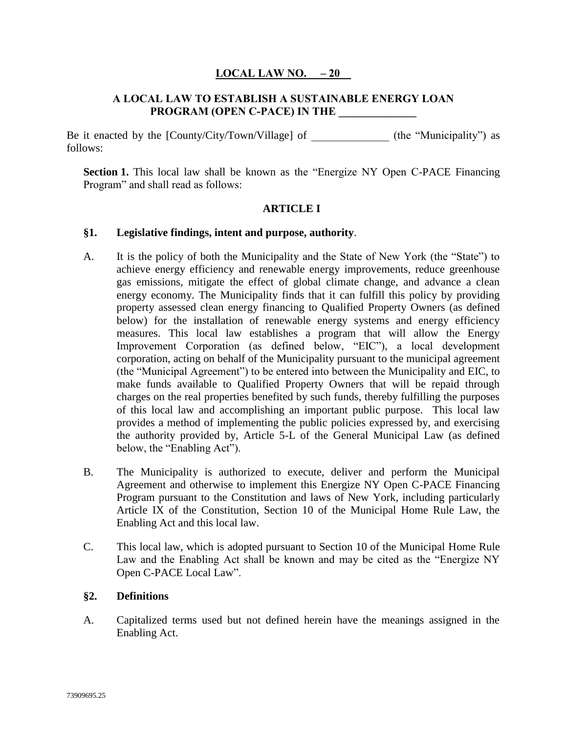### **LOCAL LAW NO. \_\_– 20\_\_**

#### **A LOCAL LAW TO ESTABLISH A SUSTAINABLE ENERGY LOAN PROGRAM (OPEN C-PACE) IN THE \_\_\_\_\_\_\_\_\_\_\_\_\_\_**

Be it enacted by the [County/City/Town/Village] of \_\_\_\_\_\_\_\_\_\_\_\_\_\_ (the "Municipality") as follows:

**Section 1.** This local law shall be known as the "Energize NY Open C-PACE Financing Program" and shall read as follows:

#### **ARTICLE I**

#### **§1. Legislative findings, intent and purpose, authority**.

- A. It is the policy of both the Municipality and the State of New York (the "State") to achieve energy efficiency and renewable energy improvements, reduce greenhouse gas emissions, mitigate the effect of global climate change, and advance a clean energy economy. The Municipality finds that it can fulfill this policy by providing property assessed clean energy financing to Qualified Property Owners (as defined below) for the installation of renewable energy systems and energy efficiency measures. This local law establishes a program that will allow the Energy Improvement Corporation (as defined below, "EIC"), a local development corporation, acting on behalf of the Municipality pursuant to the municipal agreement (the "Municipal Agreement") to be entered into between the Municipality and EIC, to make funds available to Qualified Property Owners that will be repaid through charges on the real properties benefited by such funds, thereby fulfilling the purposes of this local law and accomplishing an important public purpose. This local law provides a method of implementing the public policies expressed by, and exercising the authority provided by, Article 5-L of the General Municipal Law (as defined below, the "Enabling Act").
- B. The Municipality is authorized to execute, deliver and perform the Municipal Agreement and otherwise to implement this Energize NY Open C-PACE Financing Program pursuant to the Constitution and laws of New York, including particularly Article IX of the Constitution, Section 10 of the Municipal Home Rule Law, the Enabling Act and this local law.
- C. This local law, which is adopted pursuant to Section 10 of the Municipal Home Rule Law and the Enabling Act shall be known and may be cited as the "Energize NY Open C-PACE Local Law".

#### **§2. Definitions**

A. Capitalized terms used but not defined herein have the meanings assigned in the Enabling Act.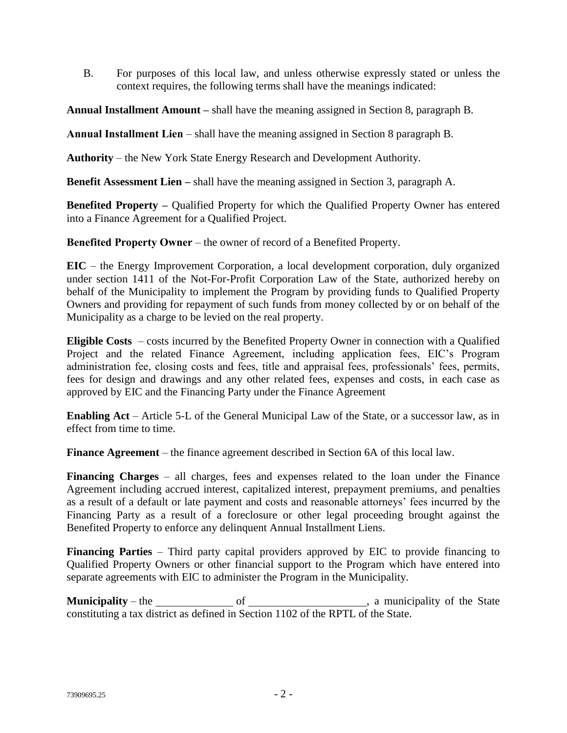B. For purposes of this local law, and unless otherwise expressly stated or unless the context requires, the following terms shall have the meanings indicated:

**Annual Installment Amount –** shall have the meaning assigned in Section 8, paragraph B.

**Annual Installment Lien** – shall have the meaning assigned in Section 8 paragraph B.

**Authority** – the New York State Energy Research and Development Authority.

**Benefit Assessment Lien –** shall have the meaning assigned in Section 3, paragraph A.

**Benefited Property –** Qualified Property for which the Qualified Property Owner has entered into a Finance Agreement for a Qualified Project.

**Benefited Property Owner** – the owner of record of a Benefited Property.

**EIC** – the Energy Improvement Corporation, a local development corporation, duly organized under section 1411 of the Not-For-Profit Corporation Law of the State, authorized hereby on behalf of the Municipality to implement the Program by providing funds to Qualified Property Owners and providing for repayment of such funds from money collected by or on behalf of the Municipality as a charge to be levied on the real property.

**Eligible Costs** – costs incurred by the Benefited Property Owner in connection with a Qualified Project and the related Finance Agreement, including application fees, EIC's Program administration fee, closing costs and fees, title and appraisal fees, professionals' fees, permits, fees for design and drawings and any other related fees, expenses and costs, in each case as approved by EIC and the Financing Party under the Finance Agreement

**Enabling Act** – Article 5-L of the General Municipal Law of the State, or a successor law, as in effect from time to time.

**Finance Agreement** – the finance agreement described in Section 6A of this local law.

**Financing Charges** – all charges, fees and expenses related to the loan under the Finance Agreement including accrued interest, capitalized interest, prepayment premiums, and penalties as a result of a default or late payment and costs and reasonable attorneys' fees incurred by the Financing Party as a result of a foreclosure or other legal proceeding brought against the Benefited Property to enforce any delinquent Annual Installment Liens.

**Financing Parties** – Third party capital providers approved by EIC to provide financing to Qualified Property Owners or other financial support to the Program which have entered into separate agreements with EIC to administer the Program in the Municipality.

**Municipality** – the of , a municipality of the State constituting a tax district as defined in Section 1102 of the RPTL of the State.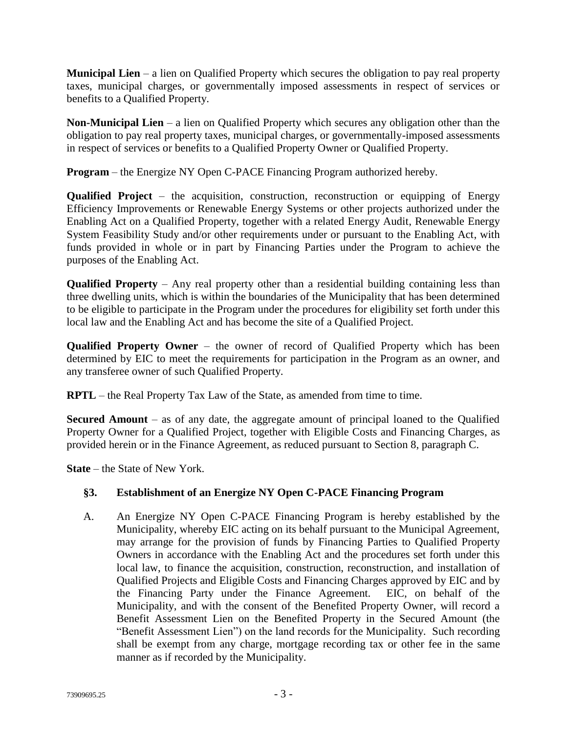**Municipal Lien** – a lien on Qualified Property which secures the obligation to pay real property taxes, municipal charges, or governmentally imposed assessments in respect of services or benefits to a Qualified Property.

**Non-Municipal Lien** – a lien on Qualified Property which secures any obligation other than the obligation to pay real property taxes, municipal charges, or governmentally-imposed assessments in respect of services or benefits to a Qualified Property Owner or Qualified Property.

**Program** – the Energize NY Open C-PACE Financing Program authorized hereby.

**Qualified Project** – the acquisition, construction, reconstruction or equipping of Energy Efficiency Improvements or Renewable Energy Systems or other projects authorized under the Enabling Act on a Qualified Property, together with a related Energy Audit, Renewable Energy System Feasibility Study and/or other requirements under or pursuant to the Enabling Act, with funds provided in whole or in part by Financing Parties under the Program to achieve the purposes of the Enabling Act.

**Qualified Property** – Any real property other than a residential building containing less than three dwelling units, which is within the boundaries of the Municipality that has been determined to be eligible to participate in the Program under the procedures for eligibility set forth under this local law and the Enabling Act and has become the site of a Qualified Project.

**Qualified Property Owner** – the owner of record of Qualified Property which has been determined by EIC to meet the requirements for participation in the Program as an owner, and any transferee owner of such Qualified Property.

**RPTL** – the Real Property Tax Law of the State, as amended from time to time.

**Secured Amount** – as of any date, the aggregate amount of principal loaned to the Qualified Property Owner for a Qualified Project, together with Eligible Costs and Financing Charges, as provided herein or in the Finance Agreement, as reduced pursuant to Section 8, paragraph C.

**State** – the State of New York.

# **§3. Establishment of an Energize NY Open C-PACE Financing Program**

A. An Energize NY Open C-PACE Financing Program is hereby established by the Municipality, whereby EIC acting on its behalf pursuant to the Municipal Agreement, may arrange for the provision of funds by Financing Parties to Qualified Property Owners in accordance with the Enabling Act and the procedures set forth under this local law, to finance the acquisition, construction, reconstruction, and installation of Qualified Projects and Eligible Costs and Financing Charges approved by EIC and by the Financing Party under the Finance Agreement. EIC, on behalf of the Municipality, and with the consent of the Benefited Property Owner, will record a Benefit Assessment Lien on the Benefited Property in the Secured Amount (the "Benefit Assessment Lien") on the land records for the Municipality. Such recording shall be exempt from any charge, mortgage recording tax or other fee in the same manner as if recorded by the Municipality.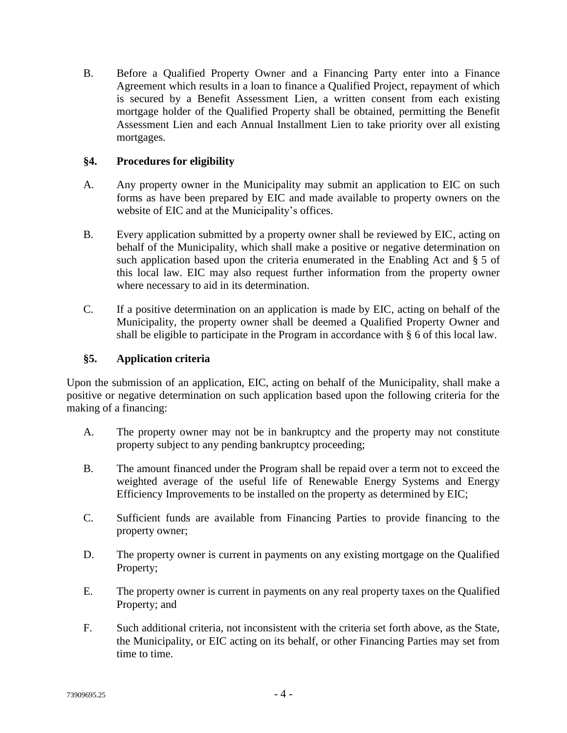B. Before a Qualified Property Owner and a Financing Party enter into a Finance Agreement which results in a loan to finance a Qualified Project, repayment of which is secured by a Benefit Assessment Lien, a written consent from each existing mortgage holder of the Qualified Property shall be obtained, permitting the Benefit Assessment Lien and each Annual Installment Lien to take priority over all existing mortgages.

# **§4. Procedures for eligibility**

- A. Any property owner in the Municipality may submit an application to EIC on such forms as have been prepared by EIC and made available to property owners on the website of EIC and at the Municipality's offices.
- B. Every application submitted by a property owner shall be reviewed by EIC, acting on behalf of the Municipality, which shall make a positive or negative determination on such application based upon the criteria enumerated in the Enabling Act and § [5](#page-3-0) of this local law. EIC may also request further information from the property owner where necessary to aid in its determination.
- C. If a positive determination on an application is made by EIC, acting on behalf of the Municipality, the property owner shall be deemed a Qualified Property Owner and shall be eligible to participate in the Program in accordance with § [6](#page-4-0) of this local law.

# <span id="page-3-0"></span>**§5. Application criteria**

Upon the submission of an application, EIC, acting on behalf of the Municipality, shall make a positive or negative determination on such application based upon the following criteria for the making of a financing:

- A. The property owner may not be in bankruptcy and the property may not constitute property subject to any pending bankruptcy proceeding;
- B. The amount financed under the Program shall be repaid over a term not to exceed the weighted average of the useful life of Renewable Energy Systems and Energy Efficiency Improvements to be installed on the property as determined by EIC;
- C. Sufficient funds are available from Financing Parties to provide financing to the property owner;
- D. The property owner is current in payments on any existing mortgage on the Qualified Property;
- E. The property owner is current in payments on any real property taxes on the Qualified Property; and
- F. Such additional criteria, not inconsistent with the criteria set forth above, as the State, the Municipality, or EIC acting on its behalf, or other Financing Parties may set from time to time.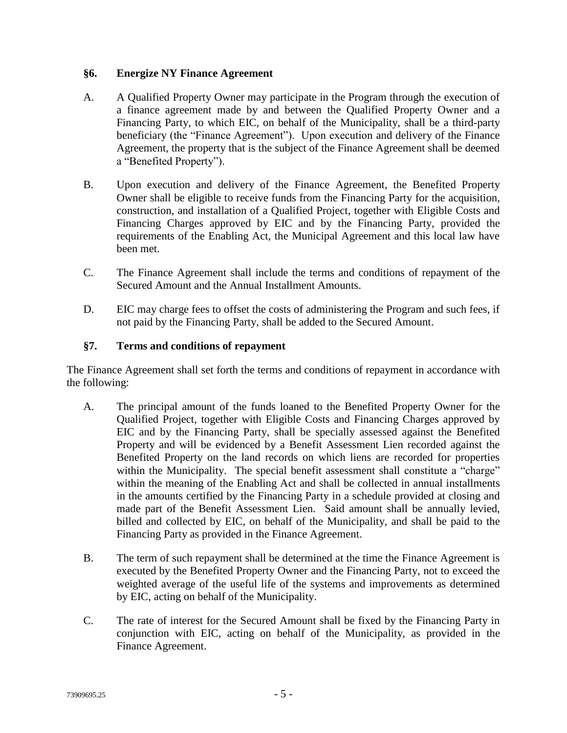### <span id="page-4-0"></span>**§6. Energize NY Finance Agreement**

- A. A Qualified Property Owner may participate in the Program through the execution of a finance agreement made by and between the Qualified Property Owner and a Financing Party, to which EIC, on behalf of the Municipality, shall be a third-party beneficiary (the "Finance Agreement"). Upon execution and delivery of the Finance Agreement, the property that is the subject of the Finance Agreement shall be deemed a "Benefited Property").
- B. Upon execution and delivery of the Finance Agreement, the Benefited Property Owner shall be eligible to receive funds from the Financing Party for the acquisition, construction, and installation of a Qualified Project, together with Eligible Costs and Financing Charges approved by EIC and by the Financing Party, provided the requirements of the Enabling Act, the Municipal Agreement and this local law have been met.
- C. The Finance Agreement shall include the terms and conditions of repayment of the Secured Amount and the Annual Installment Amounts.
- D. EIC may charge fees to offset the costs of administering the Program and such fees, if not paid by the Financing Party, shall be added to the Secured Amount.

#### **§7. Terms and conditions of repayment**

The Finance Agreement shall set forth the terms and conditions of repayment in accordance with the following:

- A. The principal amount of the funds loaned to the Benefited Property Owner for the Qualified Project, together with Eligible Costs and Financing Charges approved by EIC and by the Financing Party, shall be specially assessed against the Benefited Property and will be evidenced by a Benefit Assessment Lien recorded against the Benefited Property on the land records on which liens are recorded for properties within the Municipality. The special benefit assessment shall constitute a "charge" within the meaning of the Enabling Act and shall be collected in annual installments in the amounts certified by the Financing Party in a schedule provided at closing and made part of the Benefit Assessment Lien. Said amount shall be annually levied, billed and collected by EIC, on behalf of the Municipality, and shall be paid to the Financing Party as provided in the Finance Agreement.
- B. The term of such repayment shall be determined at the time the Finance Agreement is executed by the Benefited Property Owner and the Financing Party, not to exceed the weighted average of the useful life of the systems and improvements as determined by EIC, acting on behalf of the Municipality.
- C. The rate of interest for the Secured Amount shall be fixed by the Financing Party in conjunction with EIC, acting on behalf of the Municipality, as provided in the Finance Agreement.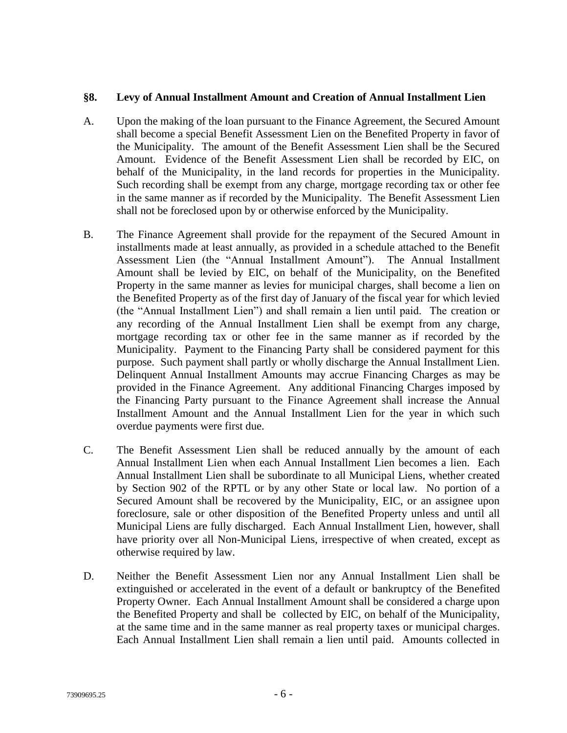#### **§8. Levy of Annual Installment Amount and Creation of Annual Installment Lien**

- A. Upon the making of the loan pursuant to the Finance Agreement, the Secured Amount shall become a special Benefit Assessment Lien on the Benefited Property in favor of the Municipality. The amount of the Benefit Assessment Lien shall be the Secured Amount. Evidence of the Benefit Assessment Lien shall be recorded by EIC, on behalf of the Municipality, in the land records for properties in the Municipality. Such recording shall be exempt from any charge, mortgage recording tax or other fee in the same manner as if recorded by the Municipality. The Benefit Assessment Lien shall not be foreclosed upon by or otherwise enforced by the Municipality.
- B. The Finance Agreement shall provide for the repayment of the Secured Amount in installments made at least annually, as provided in a schedule attached to the Benefit Assessment Lien (the "Annual Installment Amount"). The Annual Installment Amount shall be levied by EIC, on behalf of the Municipality, on the Benefited Property in the same manner as levies for municipal charges, shall become a lien on the Benefited Property as of the first day of January of the fiscal year for which levied (the "Annual Installment Lien") and shall remain a lien until paid. The creation or any recording of the Annual Installment Lien shall be exempt from any charge, mortgage recording tax or other fee in the same manner as if recorded by the Municipality. Payment to the Financing Party shall be considered payment for this purpose. Such payment shall partly or wholly discharge the Annual Installment Lien. Delinquent Annual Installment Amounts may accrue Financing Charges as may be provided in the Finance Agreement. Any additional Financing Charges imposed by the Financing Party pursuant to the Finance Agreement shall increase the Annual Installment Amount and the Annual Installment Lien for the year in which such overdue payments were first due.
- C. The Benefit Assessment Lien shall be reduced annually by the amount of each Annual Installment Lien when each Annual Installment Lien becomes a lien. Each Annual Installment Lien shall be subordinate to all Municipal Liens, whether created by Section 902 of the RPTL or by any other State or local law. No portion of a Secured Amount shall be recovered by the Municipality, EIC, or an assignee upon foreclosure, sale or other disposition of the Benefited Property unless and until all Municipal Liens are fully discharged. Each Annual Installment Lien, however, shall have priority over all Non-Municipal Liens, irrespective of when created, except as otherwise required by law.
- D. Neither the Benefit Assessment Lien nor any Annual Installment Lien shall be extinguished or accelerated in the event of a default or bankruptcy of the Benefited Property Owner. Each Annual Installment Amount shall be considered a charge upon the Benefited Property and shall be collected by EIC, on behalf of the Municipality, at the same time and in the same manner as real property taxes or municipal charges. Each Annual Installment Lien shall remain a lien until paid. Amounts collected in